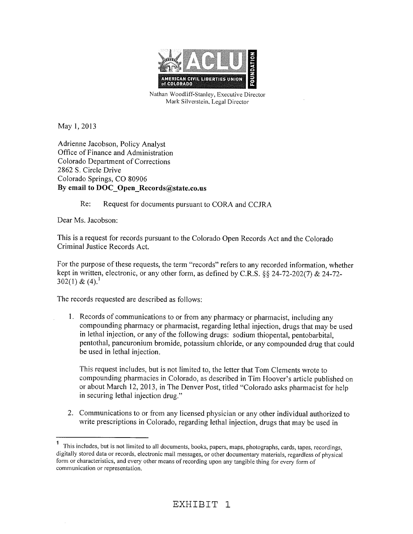

Nathan Woodliff-Stanley, Executive Director Mark Silverstein, Legal Director

May 1, 2013

Adrienne Jacobson, Policy Analyst Office of Finance and Administration Colorado Department of Corrections 2862 S. Circle Drive Colorado Springs, CO 80906 **By email to DOC\_Open\_Records@state.co.us**

Re: Request for documents pursuant to CORA and CCJRA

Dear Ms. Jacobson:

This is a request for records pursuant to the Colorado Open Records Act and the Colorado Criminal Justice Records Act.

For the purpose of these requests, the term "records" refers to any recorded information, whether kept in written, electronic, or any other form, as defined by C.R.S. §§ 24-72-202(7) & 24-72-302(1) &  $(4)$ .

The records requested are described as follows:

1. Records of communications to or from any pharmacy or pharmacist, including any compounding pharmacy or pharmacist, regarding lethal injection, drugs that may be used in lethal injection, or any of the following drugs: sodium thiopental, pentobarbital, pentothal, pancuronium bromide, potassium chloride, or any compounded drug that could be used in lethal injection.

This request includes, but is not limited to, the letter that Tom Clements wrote to compounding pharmacies in Colorado, as described in Tim Hoover's article published on or about March 12, 2013, in The Denver Post, titled "Colorado asks pharmacist for help in securing lethal injection drug."

2. Communications to or from any licensed physician or any other individual authorized to write prescriptions in Colorado, regarding lethal injection, drugs that may be used in

**<sup>1</sup>** This includes, but is not limited to all documents, books, papers, maps, photographs, cards, tapes, recordings, digitally stored data or records, electronic mail messages, or other documentary materials, regardless of physical form or characteristics, and every other means of recording upon any tangible thing for every form of communication or representation.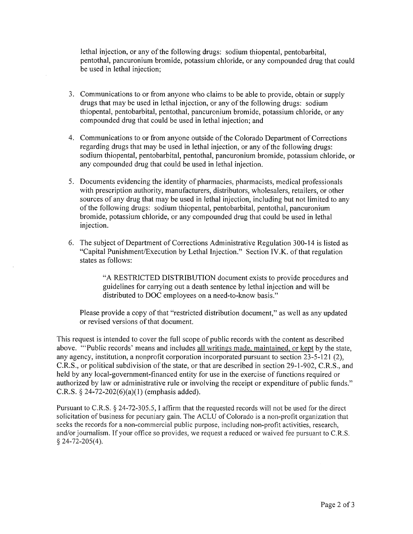lethal injection, or any of the following drugs: sodium thiopental, pentobarbital, pentothal, pancuronium bromide, potassium chloride, or any compounded drug that could be used in lethal injection;

- 3. Communications to or from anyone who claims to be able to provide, obtain or supply drugs that may be used in lethal injection, or any of the following drugs: sodium thiopental, pentobarbital, pentothal, pancuronium bromide, potassium chloride, or any compounded drug that could be used in lethal injection; and
- 4. Communications to or from anyone outside of the Colorado Department of Corrections regarding drugs that may be used in lethal injection, or any of the following drugs: sodium thiopental, pentobarbital, pentothal, pancuronium bromide, potassium chloride, or any compounded drug that could be used in lethal injection.
- *5.* Documents evidencing the identity of pharmacies, pharmacists, medical professionals with prescription authority, manufacturers, distributors, wholesalers, retailers, or other sources of any drug that may be used in lethal injection, including but not limited to any of the following drugs: sodium thiopental, pentobarbital, pentothal, pancuronium bromide, potassium chloride, or any compounded drug that could be used in lethal injection.
- 6. The subject of Department of Corrections Administrative Regulation 300-14 is listed as "Capital Punishment/Execution by Lethal Injection." Section IV.K. of that regulation states as follows:

"A RESTRICTED DISTRIBUTION document exists to provide procedures and guidelines for carrying out a death sentence by lethal injection and will be distributed to DOC employees on a need-to-know basis."

Please provide a copy of that "restricted distribution document," as well as any updated or revised versions of that document.

This request is intended to cover the full scope of public records with the content as described above. "'Public records' means and includes all writings made, maintained, or kept by the state, any agency, institution, a nonprofit corporation incorporated pursuant to section 23-5-121 (2), C.R.S., or political subdivision of the state, or that are described in section 29-1-902, C.R.S., and held by any local-government-financed entity for use in the exercise of functions required or authorized by law or administrative rule or involving the receipt or expenditure of public funds." C.R.S. § 24-72-202(6)(a)(1) (emphasis added).

Pursuant to C.R.S. § *24-72-305.5,* I affirm that the requested records will not be used for the direct solicitation of business for pecuniary gain. The ACLU of Colorado is a non-profit organization that seeks the records for a non-commercial public purpose, including non-profit activities, research, and/or journalism. If your office so provides, we request a reduced or waived fee pursuant to C.R.S. § *24-72-205(4).*